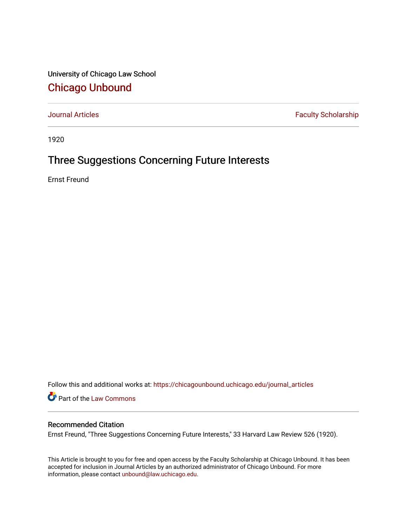University of Chicago Law School [Chicago Unbound](https://chicagounbound.uchicago.edu/)

[Journal Articles](https://chicagounbound.uchicago.edu/journal_articles) **Faculty Scholarship Faculty Scholarship** 

1920

# Three Suggestions Concerning Future Interests

Ernst Freund

Follow this and additional works at: [https://chicagounbound.uchicago.edu/journal\\_articles](https://chicagounbound.uchicago.edu/journal_articles?utm_source=chicagounbound.uchicago.edu%2Fjournal_articles%2F7852&utm_medium=PDF&utm_campaign=PDFCoverPages) 

Part of the [Law Commons](http://network.bepress.com/hgg/discipline/578?utm_source=chicagounbound.uchicago.edu%2Fjournal_articles%2F7852&utm_medium=PDF&utm_campaign=PDFCoverPages)

## Recommended Citation

Ernst Freund, "Three Suggestions Concerning Future Interests," 33 Harvard Law Review 526 (1920).

This Article is brought to you for free and open access by the Faculty Scholarship at Chicago Unbound. It has been accepted for inclusion in Journal Articles by an authorized administrator of Chicago Unbound. For more information, please contact [unbound@law.uchicago.edu](mailto:unbound@law.uchicago.edu).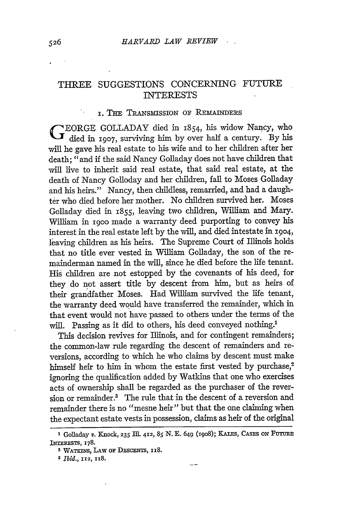## THREE SUGGESTIONS CONCERNING FUTURE INTERESTS

#### i. Tim TRANSxSSION **OF** REMAINDERS

REORGE GOLLADAY died in 1854, his widow Nancy, who died in 1907, surviving him by over half a century. By his will he gave his real estate to his wife and to her children after her death; "and if the said Nancy Golladay does not have children that will live to inherit said real estate, that said real estate, at the death of Nancy Golloday and her children, fall to Moses Golladay and his heirs." Nancy, then childless, remarried, and had a daughter who died before her mother. No children survived her. Moses Golladay died in *1855,* leaving two children, William and Mary. William in i9oo made a warranty deed purporting to convey his interest in the real estate left by the will, and died intestate in **19o4,** leaving children as his heirs. The Supreme Court of Illinois holds that no title ever vested in William Golladay, the son of the remainderman named in the will, since he died before the life tenant. His children are not estopped by the covenants of his deed, for they do not assert title by descent from him, but as heirs of their grandfather Moses. Had William survived the life tenant, the warranty deed would have transferred the remainder, which in that event would not have passed to others under the terms of the will. Passing as it did to others, his deed conveyed nothing.<sup>1</sup>

This decision revives for Illinois, and for contingent remainders; the common-law rule regarding the descent of remainders and reversions, according to which he who claims by descent must make himself heir to him in whom the estate first vested by purchase,<sup>2</sup> ignoring the qualification added by Watkins that one who exercises acts of ownership shall be regarded as the purchaser of the reversion or remainder.<sup>3</sup> The rule that in the descent of a reversion and remainder there is no "mesne heir" but that the one claiming when the expectant estate vests in possession, claims as heir of the original

**<sup>1</sup>** Golladay **v.** Knock, **235 IBI.** 412, *85* **N. E.** 649 **(i9o8); RsAS, CASES ON** FuTmR **INTERESTS**, 178.

**<sup>2</sup>** WATiNs, LAW **OF DESCENTS,** 118.

*<sup>3</sup> Ibid.,* **112, 1i8.**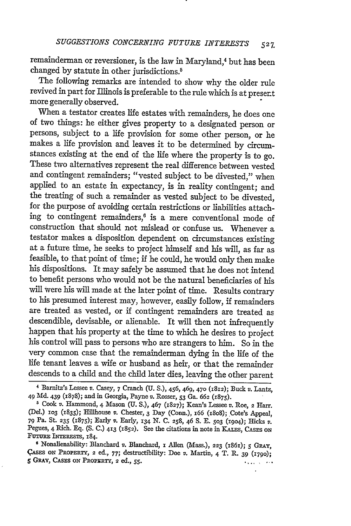remainderman or reversioner, is the law in Maryland,<sup>4</sup> but has been changed by statute in other jurisdictions.5

The following remarks are intended to show why the older rule revived in part for Illinois is preferable to the rule which is at present more generally observed.

When a testator creates life estates with remainders, he does one of two things: he either gives property to a designated person or persons, subject to a life provision for some other person, or he makes a life provision and leaves it to be determined by circumstances existing at the end of the life where the property is to go. These two alternatives represent the real difference between vested and contingent remainders; "vested subject to be divested," when applied to an estate in expectancy, is in reality contingent; and the treating of such a remainder as vested subject to be divested, for the purpose of avoiding certain restrictions or liabilities attaching to contingent remainders,<sup>6</sup> is a mere conventional mode of construction that should not mislead or confuse us. Whenever a testator makes a disposition dependent on circumstances existing at a future time, he seeks to project himself and his will, as far as feasible, to that point of time; if he could, he would only then make his dispositions. It may safely be assumed that he does not intend to benefit persons who would not be the natural beneficiaries of his will were his will made at the later point of time. Results contrary to his presumed interest may, however, easily follow, if remainders are treated as vested, or if contingent remainders are treated as descendible, devisable, or alienable. It will then not infrequently happen that his property at the time to which he desires to project his control will pass to persons who are strangers to him. So in the very common case that the remainderman dying in the life of the life tenant leaves a wife or husband as heir, or that the remainder descends to a child and the child later dies, leaving the other parent

**5** Nonalienability: Blanchard v. Blanchard, x Allen (Mass.), **223** (x86i); **5** GRAY, **4 AsES ON** PROPERTY, **2** ed., 77; destructibility: Doe v. Martin, 4 T. R. **39** (1790); **5 GRAY, CASES ON PROPrERTY, 2** ed., *ss.***Paradox** (1994)

<sup>4</sup> Barnitz's Lessee v. Casey, 7 Cranch (U. S.), 456, 469, **470** (I812); Buck *v.* Lantz, 49 Md. 439 (1878); and in Georgia, Payne *v.* Rosser, 53 Ga. *662* (1875).

**<sup>5</sup>** Cook v. Hammond, 4 Mason *(U.* S.), 467 (1827); Kean's Lessee v. Roe, 2 Harr. (Del.) 103 (1835); Hillhouse *v*. Chester, 3 Day (Conn.), 166 (1808); Cote's Appeal, **<sup>79</sup>**Pa. St. **235** (1875); Early *v.* Early, 134 N. C. **258,** 46 **S.** E. 5o3 (i9o4); Hicks v. Pegues, 4 Rich. Eq. (S. C.) 413 **(1852).** See the citations in note in **KALES, CASES ON** FUTURE INTERESTS, 184.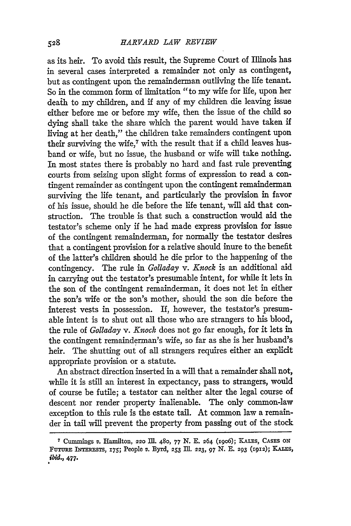as its heir. To avoid this result, the Supreme Court of Illinois has in several cases interpreted a remainder not only as contingent, but as contingent upon the remainderman outliving the life tenant. So in the common form of limitation "to my wife for life, upon her deaih to my children, and if any of my children die leaving issue either before me or before my wife, then the issue of the child so dying shall take the share which the parent would have taken if living at her death," the children take remainders contingent upon their surviving the wife,7 with the result that if a child leaves husband or wife, but no issue, the husband or wife will take nothing. In most states there is probably no hard and fast rule preventing courts from seizing upon slight forms of expression to read a contingent remainder as contingent upon the contingent remainderman surviving the life tenant, and particularly the provision in favor of his issue, should he die before the life tenant, will aid that construction. The trouble is that such a construction would aid the testator's scheme only if he had made express provision for issue of the contingent remainderman, for normally the testator desires that a contingent provision for a relative should inure to the benefit of the latter's children should he die prior to the happening of the contingency. The rule in *Golladay* v. *Knock* is an additional aid in carrying out the testator's presumable intent, for while it lets in the son of the contingent remainderman, it does not let in either the son's wife or the son's mother, should the son die before the interest vests in possession. If, however, the testator's presumable intent is to shut out all those who are strangers to his blood, the rule of *Golladay* v. *Knock* does not go far enough, for it lets in the contingent remainderman's wife, so far as she is her husband's heir. The shutting out of all strangers requires either an explicit appropriate provision or a statute.

An abstract direction inserted in a will that a remainder shall not, while it is still an interest in expectancy, pass to strangers, would of course be futile; a testator can neither alter the legal course of descent nor render property inalienable. The only common-law exception to this rule is the estate tail. At common law a remainder in tail will prevent the property from passing out of the stock

**<sup>7</sup>** Cummings **v. Hamilton,** *220* Ill. **480, 77 N. E. 264** (igo6); 1ALEs, **CASES ON** FUTURE INTERESTS, 175; People v. Byrd, 253 Ill. 223, 97 N. E. 293 (1912); KALES, *id.,* **477.**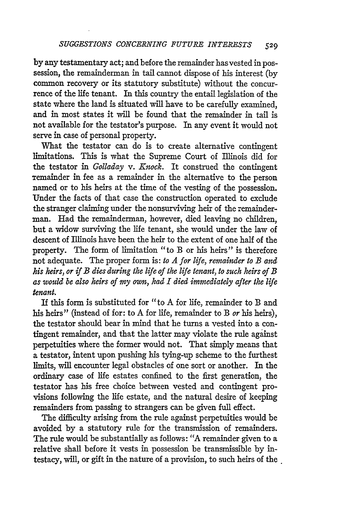by any testamentary act; and before the remainder hasvested in possession, the remainderman in tall cannot dispose of his interest (by common recovery or its statutory substitute) without the concurrence of the life tenant. In this country the entail legislation of the state where the land is situated will have to be carefully examined, and in most states it will be found that the remainder in tail is not available for the testator's purpose. In any event it would not serve in case of personal property.

What the testator can do is to create alternative contingent limitations. This is what the Supreme Court of Illinois did for the testator in *Golladay v. Knock.* It construed the contingent Temainder in fee as a remainder in the alternative to the person named or to his heirs at the time of the vesting of the possession. Under the facts of that case the construction operated to exclude the stranger claiming under the nonsurviving heir of the remainderman. Had the remainderman, however, died leaving no children, but a widow surviving the life tenant, she would under the law of descent of Illinois have been the heir to the extent of one half of the property. The form of limitation "to B or his heirs" is therefore not adequate. The proper form is: *to A for life, remainder to B and his heirs, or if B dies during the life of the life tenant, to such heirs of B as would be also heirs of my own, had I died immediately after the life tenant.*

If this form is substituted for "to A for life, remainder to B and his heirs" (instead of for: to A for life, remainder to B *or* his heirs), the testator should bear in mind that he turns a vested into a contingent remainder, and that the latter may violate the rule against perpetuities where the former would not. That simply means that a testator, intent upon pushing his tying-up scheme to the furthest limits, will encounter legal obstacles of one sort or another. In the ordinary case of life estates confined to the first generation, the testator has his free choice between vested and contingent provisions following the life estate, and the natural desire of keeping remainders from passing to strangers can be given full effect.

The difficulty arising from the rule against perpetuities would be avoided by a statutory rule for the transmission of remainders. The rule would be substantially as follows: "A remainder given to a relative shall before it vests in possession be transmissible by intestacy, will, or gift in the nature of a provision, to such heirs of the.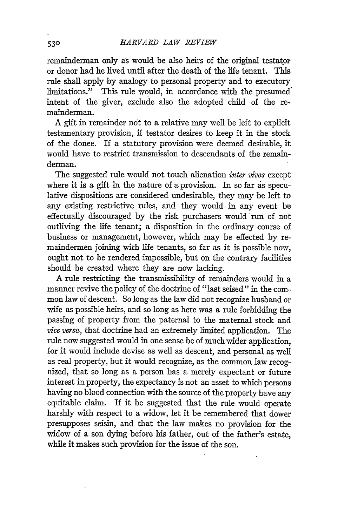remainderman only as would be also heirs of the original testator or donor had he lived until after the death of the life tenant. This rule shall apply by analogy to personal property and to executory limitations." This rule would, in accordance with the presumed' intent of the giver, exclude also the adopted child of the remainderman.

A gift in remainder not to a relative may well be left to explicit testamentary provision, if testator desires to keep it in the stock of the donee. If a statutory provision were deemed desirable, it would have to restrict transmission to descendants of the remainderman.

The suggested rule would not touch alienation *inter vivos* except where it is a gift in the nature of a provision. In so far as speculative dispositions are considered undesirable, they may be left to any existing restrictive rules, and they would in any event be effectually discouraged by the risk purchasers would 'run of not outliving the life tenant; a disposition in the ordinary course of business or management, however, which may be effected by remaindermen joining with life tenants, so far as it is possible now, ought not to be rendered impossible, but on the contrary facilities should be created where they are now lacking.

A rule restricting the transmissibility of remainders would in a manner revive the policy of the doctrine of "last seised" in the common law of descent. So long as the law did not recognize husband or wife as possible heirs, and so long as here was a rule forbidding the passing of property from the paternal to the maternal stock and *vice versa,* that doctrine had an extremely limited application. The rule now suggested would in one sense be of much wider application, for it would include devise as well as descent, and personal as well as real property, but it would recognize, as the common law recognized, that so long as a person has a merely expectant or future interest in property, the expectancy is not an asset to which persons having no blood connection with the source of the property have any equitable claim. If it be suggested that the rule would operate harshly with respect to a widow, let it be remembered that dower presupposes seisin, and that the law makes no provision for the widow of a son dying before his father, out of the father's estate, while it makes such provision for the issue of the son.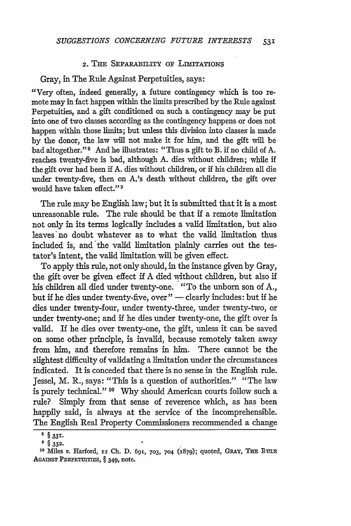#### 2. THE SEPARABILITY OF LIMITATIONS

Gray, in The Rule Against Perpetuities, says:

"Very often, indeed generally, a future contingency which is too remote may in fact happen within the limits prescribed by the Rule against Perpetuities, and a gift conditioned on such a contingency may be put into one of two classes according as the contingency happens or does not happen within those limits; but unless this division into classes is made by the donor, the law will not make it for him, and the gift will be bad altogether." **8** And he illustrates: "Thus a gift to B. if no child of A. reaches twenty-five is bad, although A. dies without children; while if the gift over had been if A. dies without children, or if his children all die under twenty-five, then on A.'s death without children, the gift over would have taken effect." **9**

The rule may be English law; but it is submitted that it is a most unreasonable rule. The rule should be that if a remote limitation not only in its terms logically includes a valid limitation, but also leaves'no doubt whatever as to what the valid limitation thus included is, and 'the valid limitation plainly carries out the testator's intent, the valid limitation will be given effect.

To apply this rule, not only should, in the instance given by Gray, the gift over be given effect if A died without children, but also if his children all died under twenty-one. "To the unborn son of A., but if he dies under twenty-five, over" - clearly includes: but if he dies under twenty-four, under twenty-three, under twenty-two, or under twenty-one; and if he dies under twenty-one, the gift over is valid. If he dies over twenty-one, the gift, unless it can be saved on some other principle, is invalid, because remotely taken away from him, and therefore remains in him. There cannot be the slightest difficulty of validating a limitation under the circumstances indicated. It is conceded that there is no sense in the English rule. Jessel, M. R., says: "This is a question of authorities." "The law is purely technical." **10** Why should American courts follow such a rule? Simply from that sense of reverence which, as has been happily said, is always at the service of the incomprehensible. The English Real Property Commissioners recommended a change

**<sup>8</sup>** § **331.**

<sup>§</sup> **332.**

**<sup>10</sup>**Miles v. Harford, **12 Ch. D.** 691, **703,** 704 (1879); quoted, **GAY, THE 1RuLE** AGAINsT **PERPETuiTIE\_,** § 349, note.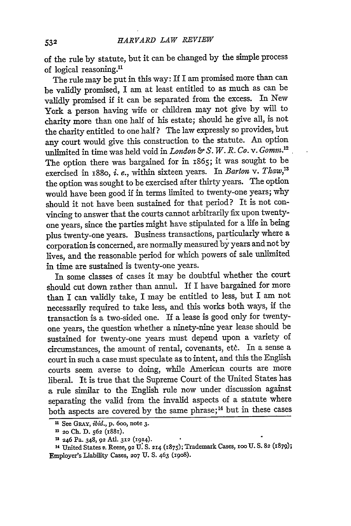of the rule by statute, but it can be changed by the simple process of logical reasoning.<sup>11</sup>

The rule may be put in this way: If I am promised more than can be validly promised, I am at least entitled to as much as can be validly promised if it can be separated from the excess. In New York a person having wife or children may not give by will to charity more than one half of his estate; should he give all, is not the charity entitled to one half ? The law expressly so provides, but any court would give this construction to the statute. An option unlimited in time was held void in *London & S. W. R. Co. v. Gomm.12* The option there was bargained for in i865; it was sought to be exercised in 1880, *i. e.*, within sixteen years. In *Barton v. Thaw*,<sup>13</sup> the option was sought to be exercised after thirty years. The option would have been good if in terms limited to twenty-one years; why should it not have been sustained for that period? It is not convincing to answer that the courts cannot arbitrarily fix upon twentyone years, since the parties might have stipulated for a life in being plus twenty-one years. Business transactions, particularly where a corporation is concerned, are normally measured by years and not by lives, and the reasonable period for which powers of sale unlimited in time are sustained is twenty-one years.

In some classes of cases it may be doubtful whether the court should cut down rather than annul. If I have bargained for more than I can validly take, I may be entitled to less, but I am not necessarily required to take less, and this works both ways, if the transaction is a two-sided one. If a lease is good only for twentyone years, the question whether a ninety-nine year lease should be sustained for twenty-one years must depend upon a variety of circumstances, the amount of rental, covenants, etc. In a sense a court in such a case must speculate as to intent, and this the English courts seem averse to doing, while American courts are more liberal. It is true that the Supreme Court of the United States has a rule similar to the English rule now under discussion against separating the valid from the invalid aspects of a statute where both aspects are covered by the same phrase;<sup>14</sup> but in these cases

**n** See **G AY,** *ibid.,* **p.** 6oo, note **3.**

<sup>&</sup>lt;sup>12</sup> 20 Ch. D. 562 (1881).

<sup>&</sup>lt;sup>13</sup> 246 Pa. 348, 92 Atl. 312 (1914).

<sup>14</sup> United States v. Reese, 92 **U. S. 214** (1875); Trademark Cases, zoo **U. S. 82** (1879); Employer's Liability Cases, **207 U. S. 463** (19O8).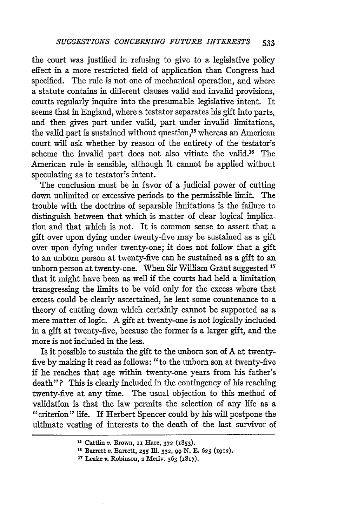the court was justified in refusing to give to a legislative policy effect in a more restricted field of application than Congress had specified. The rule is not one of mechanical operation, and where a statute contains in different clauses valid and invalid provisions, courts regularly inquire into the presumable legislative intent. It seems that in England, where a testator separates his gift into parts, and then gives part under valid, part under invalid limitations, the valid part is sustained without question,<sup>15</sup> whereas an American court will ask whether by reason of the entirety of the testator's scheme the invalid part does not also vitiate the valid.<sup>16</sup> The American rule is sensible, although it cannot be applied without speculating as to testator's intent.

The conclusion must be in favor of a judicial power of cutting down unlimited or excessive periods to the permissible limit. The trouble with the doctrine of separable limitations is the failure to distinguish between that which is matter of clear logical implication and that which is not. It is common sense to assert that a gift over upon dying under twenty-five may be sustained as a gift over upon dying under twenty-one; it does not follow that a gift to an unborn person at twenty-five can be sustained as a gift to an unborn person at twenty-one. When Sir William Grant suggested <sup>1</sup> that it might have been as well if the courts had held a limitation transgressing the limits to be void only for the excess where that excess could be clearly ascertained, he lent some countenance to a theory of cutting down which certainly cannot be supported as a mere matter of logic. A gift at twenty-one is not logically included in a gift at twenty-five, because the former is a larger gift, and the more is not included in the less.

Is it possible to sustain the gift to the unborn son of A at twentyfive by making it read as follows: "to the unborn son at twenty-five if he reaches that age within twenty-one years from his father's death"? This is clearly included in the contingency of his reaching twenty-five at any time. The usual objection to this method of validation is that the law permits the selection of any life as a "criterion" life. If Herbert Spencer could by his will postpone the ultimate vesting of interests to the death of the last survivor of

**<sup>1</sup> Cattlin v. Brown, ii** Hare, **372 (1853).**

**<sup>15</sup>** Barrett *v.* Barrett, **255** *IM.* **332,** *99* **N. E.** *625* (1912).

**<sup>17</sup>** Leake **v.** Robinson, 2 Meriv. **363 (1817).**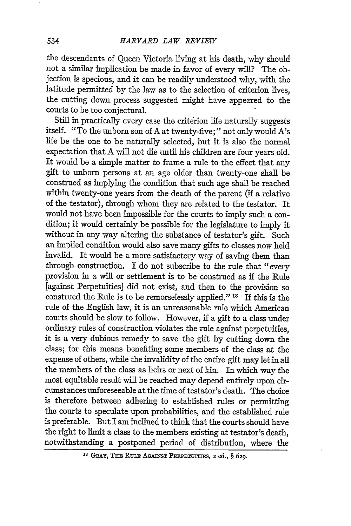the descendants of Queen Victoria living at his death, why should not a similar implication be made in favor of every will? The objection is specious, and it can be readily understood why, with the latitude permitted by the law as to the selection of criterion lives, the cutting down process suggested might have appeared to the courts to be too conjectural.

Still in practically every case the criterion life naturally suggests itself. "To the unborn son of A at twenty-five;" not only would A's life be the one to be naturally selected, but it is also the normal expectation that A will not die until his children are four years old. It would be a simple matter to frame a rule to the effect that any gift to unborn persons at an age older than twenty-one shall be construed as implying the condition that such age shall be reached within twenty-one years from the death of the parent **(if** a relative of the testator), through whom they are related to the testator. It would not have been impossible for the courts to imply such a condition; it would certainly be possible for the legislature to imply it without in any way altering the substance of testator's gift. Such an implied condition would also save many gifts to classes now held invalid. It would be a more satisfactory way of saving them than through construction. I do not subscribe to the rule that "every provision in a will or settlement is to be construed as if the Rule [against Perpetuities] did not exist, and then to the provision so construed the Rule is to be remorselessly applied." **18** If this is the rule of the English law, it is an unreasonable rule which American courts should be slow to follow. However, if a gift to a class under ordinary rules of construction violates the rule against perpetuities, it is a very dubious remedy to save the gift by cutting down the class; for this means benefiting some members of the class at the expense of others, while the invalidity of the entire gift may let in all the members of the class as heirs or next of kin. In which way the most equitable result will be reached may depend entirely upon circumstances unforeseeable at the time of testator's death. The choice is therefore between adhering to established rules or permitting the courts to speculate upon probabilities, and the established rule is preferable. But I am inclined to think that the courts should have the right to limit a class to the members existing at testator's death, notwithstanding a postponed period of distribution, where the

<sup>&</sup>lt;sup>18</sup> GRAY, THE RULE AGAINST PERPETUITIES, 2 ed., § 629.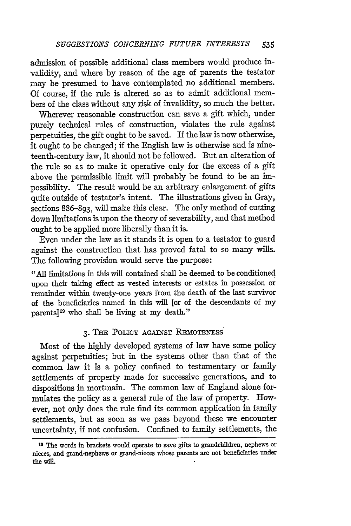admission of possible additional class members would produce invalidity, and where by reason of the age of parents the testator may be presumed to have contemplated no additional members. Of course, if the rule is altered so as to admit additional members of the class without any risk of invalidity, so much the better.

Wherever reasonable construction can save a gift which, under purely technical rules of construction, violates the rule against perpetuities, the gift ought to be saved. If the law is now otherwise, it ought to be changed; if the English law is otherwise and is nineteenth-century law, it should not be followed. But an alteration of the rule so as to make it operative only for the excess of a gift above the permissible limit will probably be found to be an impossibility. The result would be an arbitrary enlargement of gifts quite outside of testator's intent. The illustrations given in Gray, sections 886-893, will make this clear. The only method of cutting down limitations is upon the theory of severability, and that method ought to be applied more liberally than it is.

Even under the law as it stands it is open to a testator to guard against the construction that has proved fatal to so many wills. The following provision would serve the purpose:

"All limitations in this will contained shall be deemed to be conditioned upon their taking effect as vested interests or estates in possession or remainder within twenty-one years from the death of the last survivor of the beneficiaries named in this will [or of the descendants of my parents]<sup>19</sup> who shall be living at my death."

### 3. THE POLICY AGAINST REMOTENESS

Most of the highly developed systems of law have some policy against perpetuities; but in the systems other than that of the common law it is a policy confined to testamentary or family settlements of property made for successive generations, and to dispositions in mortmain. The common law of England alone formulates the policy as a general rule of the law of property- However, not only does the rule find its common application in family settlements, but as soon as we pass beyond these we encounter uncertainty, if not confusion. Confined to family settlements, the

**<sup>19</sup>** The words in brackets would operate to save gifts to grandchildren, nephews or nieces, and grand-nephews or grand-nieces whose parents are not beneficiaries under the will.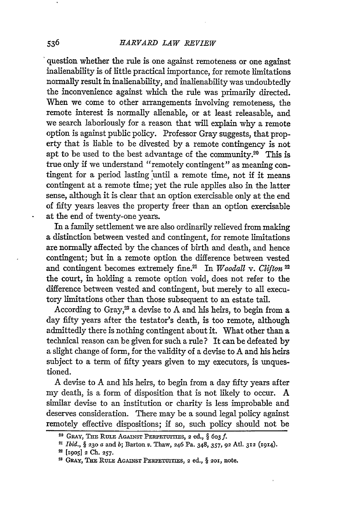question whether the rule is one against remoteness or one against inalienability is of little practical importance, for remote limitations normally result in inalienability, and inalienability was undoubtedly the inconvenience against which the rule was primarily directed. When we come to other arrangements involving remoteness, the remote interest is normally alienable, or at least releasable, and we search laboriously for a reason that will explain why a remote option is against public policy. Professor Gray suggests, that property that is liable to be divested by a remote contingency is not apt to be used to the best advantage of the community.<sup>20</sup> This is true only if we understand "remotely contingent" as meaning contingent for a period lasting 'until a remote time, not if it means contingent at a remote time; yet the rule applies also in the latter sense, although it is clear that an option exercisable only at the end of fifty years leaves the property freer than an option exercisable at the end of twenty-one years.

In a family settlement we are also ordinarily relieved from making a distinction between vested and contingent, for remote limitations are normally affected by the chances of birth and death, and hence contingent; but in a remote option the difference between vested and contingent becomes extremely fine.<sup>21</sup> In *Woodall v. Clifton*<sup>22</sup> the court, in holding a remote option void, does not refer to the difference between vested and contingent, but merely to all executory limitations other than those subsequent to an estate tail.

According to Gray,<sup>23</sup> a devise to A and his heirs, to begin from a day fifty years after the testator's death, is too remote, although admittedly there is nothing contingent about it. What other than a technical reason can be given for such a rule? It can be defeated by a slight change of form, for the validity of a devise to A and his heirs subject to a term of fifty years given to my executors, is unquestioned.

A devise to A and his heirs, to begin from a day fifty years after my death, is a form of disposition that is not likely to occur. A similar devise to an institution or charity is less improbable and deserves consideration. There may be a sound legal policy against remotely effective dispositions; if so, such policy should not be

**<sup>20</sup>**GRAY, **ME RuLE AGAINST** PERPETUITIES, 2 **ed.,** § **603** *f.*

*<sup>21</sup>Ibid., § 230 a* **and** *b;* **Barton** v. **Thaw,** 246 **Pa.** 348, 357, *92* At]. **312 (1914).**

**<sup>&#</sup>x27; [19os]** 2 **Ch. 257.**

**<sup>23</sup> GRAY,** TaE **RuLE** AGAINST PERPETUITIES, 2 ed., *§* 201, **note.**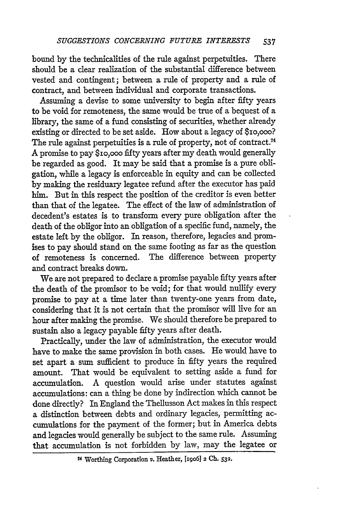bound by the technicalities of the rule against perpetuities. There should be a clear realization of the substantial difference between vested and contingent; between a rule of property and a rule of contract, and between individual and corporate transactions.

Assuming a devise to some university to begin after fifty years to be void for remoteness, the same would be true of a bequest of a library, the same of a fund consisting of securities, whether already existing or directed to be set aside. How about a legacy of \$io,ooo? The rule against perpetuities is a rule of property, not of contract.<sup>24</sup> A promise to pay \$io,ooo fifty years after my death would generally be regarded as good. It may be said that a promise is a pure obligation, while a legacy is enforceable in equity and can be collected by making the residuary legatee refund after the executor has paid him. But in this respect the position of the creditor is even better than that of the legatee. The effect of the law of administration of decedent's estates is to transform every pure obligation after the death of the obligor into an obligation of a specific fund, namely, the estate left by the obligor. In reason, therefore, legacies and promises to pay should stand on the same footing as far as the question of remoteness is concerned. The difference between property and contract breaks down.

We are not prepared to declare a promise payable fifty years after the death of the promisor to be void; for that would nullify every promise to pay at a time later than twenty-one years from date, considering that it is not certain that the promisor will live for an hour after making the promise. We should therefore be prepared to sustain also a legacy payable fifty years after death.

Practically, under the law of administration, the executor would have to make the same provision in both cases. He would have to set apart a sum sufficient to produce in fifty years the required amount. That would be equivalent to setting aside a fund for accumulation. A question would arise under statutes against accumulations: can a thing be done by indirection which cannot be done directly? In England the Thellusson Act makes in this respect a distinction between debts and ordinary legacies, permitting accumulations for the payment of the former; but in America debts and legacies would generally be subject to the same rule. Assuming that accumulation is not forbidden by law, may the legatee or

<sup>24</sup> Worthing Corporation *v.* Heather, [i9o6] **2 Ch. 532.**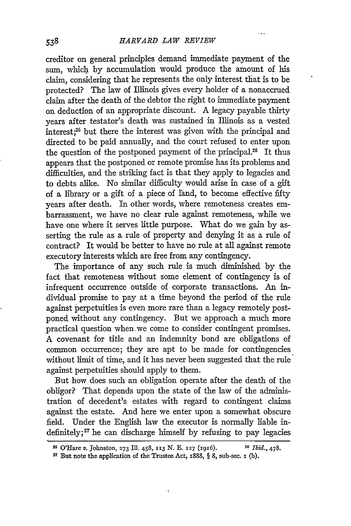creditor on general principles demand immediate payment of the sum, which by accumulation would produce the amount of his claim, considering that he represents the only interest that is to be protected? The law of Illinois gives every holder of a nonaccrued claim after the death of the debtor the right to immediate payment on deduction of an appropriate discount. A legacy payable thirty years after testator's death was sustained in Illinois as a vested interest;25 but there the interest was given with the principal and directed to be paid annually, and the court refused to enter upon the question of the postponed payment of the principal.<sup>26</sup> It thus appears that the postponed or remote promise has its problems and difficulties, and the striking fact is that they apply to legacies and to debts alike. No similar difficulty would arise in case of a gift of a library or a gift of a piece of land, to become effective fifty years after death. In other words, where remoteness creates embarrassment, we have no clear rule against remoteness, while we have one where it serves little purpose. What do we gain by asserting the rule as a rule of property and denying it as a rule of contract? It would be better to have no rule at all against remote executory interests which are free from any contingency.

The importance of any such rule is much diminished by the fact that remoteness without some element of contingency is of infrequent occurrence outside of corporate transactions. An individual promise to pay at a time beyond the period of the rule against perpetuities is even more rare than a legacy remotely postponed without any contingency. But we approach a much more practical question when.we come to consider contingent promises. A covenant for title and an indemnity bond are obligations of common occurrence; they are apt to be made for contingencies without limit of time, and it has never been suggested that the rule against perpetuities should apply to them.

But how does such an obligation operate after the death of the obligor? That depends upon the state of the law of the administration of decedent's estates with regard to contingent claims against the estate. And here we enter upon a somewhat obscure field. Under the English law the executor is normally liable indefinitely; $27$  he can discharge himself by refusing to pay legacies

**<sup>25</sup>**O'Hare **v.** Johnston, **273** IlR. 458, **113 N. E. 127** (1916). **2"** *Ibd.,* **478.**

**<sup>27</sup>** But note the application of the Trustee Act, 1888, § **8,** sub-sec. i **(b).**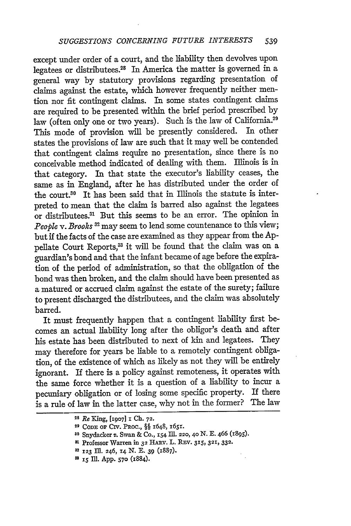except under order of a court, and the liability then devolves upon legatees or distributees.<sup>28</sup> In America the matter is governed in a general way by statutory provisions regarding presentation of claims against the estate, which however frequently neither mention nor fit contingent claims. In some states contingent claims are required to be presented within the brief period prescribed by law (often only one or two years). Such is the law of California.29 This mode of provision will be presently considered. In other states the provisions of law are such that it may well be contended that contingent claims require no presentation, since there is no conceivable method indicated of dealing with them. Illinois is in that category. In that state the executor's liability ceases, the same as in England, after he has distributed under the order of the court.30 It has been said that in Illinois the statute is interpreted to mean that the claim is barred also against the legatees or distributees.1 But this seems to be an error. The opinion in *People v. Brooks 3 <sup>2</sup>*may seem to lend some countenance to this view; but if the facts of the case are examined as they appear from the Appellate Court Reports,<sup>33</sup> it will be found that the claim was on a guardian's bond and that the infant became of age before the expiration of the period of administration, so that the obligation of the bond was then broken, and the claim should have been presented as a matured or accrued claim against the estate of the surety; failure to present discharged the distributees, and the claim was absolutely barred.

It must frequently happen that a contingent liability first becomes an actual liability long after the obligor's death and after his estate has been distributed to next of kin and legatees. They may therefore for years be liable to a remotely contingent obligation, of the existence of which as likely as not they will be entirely ignorant. If there is a policy against remoteness, it operates with the same force whether it is a question of a liability to incur a pecuniary obligation or of losing some specific property. If there is a rule of law in the latter case, why not in the former? The law

**<sup>28</sup>***Re* King, **[1907] I** Ch. **72.**

**<sup>29</sup> CODE or** Civ. PRoc., §§ **1648, 165x.**

**<sup>30</sup>**Snydacker **v.** Swan **&** Co., 154 **Il. 220,40 N. E.** 466 **(I895).**

**<sup>31</sup>**Professor Warren in **32** HARV. L. REv. **3I5, 321, 332.**

<sup>2</sup>**123** Il. 246, 14 **N. E. 39 (1887).**

**<sup>33</sup>x5** Ill. App. **57o** (1884).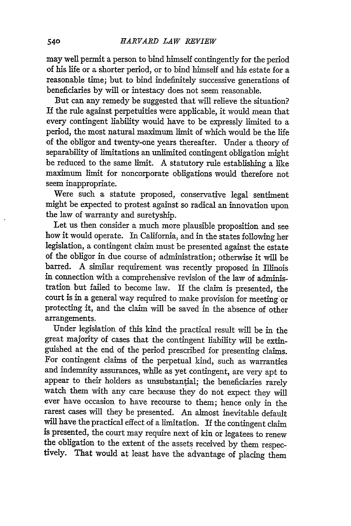may well permit a person to bind himself contingently for the period of his life or a shorter period, or to bind himself and his estate for a reasonable time; but to bind indefinitely successive generations of beneficiaries by will or intestacy does not seem reasonable.

But can any remedy be suggested that will relieve the situation? If the rule against perpetuities were applicable, it would mean that every contingent liability would have to be expressly limited to a period, the most natural maximum limit of which would be the life of the obligor and twenty-one years thereafter. Under a theory of separability of limitations an unlimited contingent obligation might be reduced to the same limit. A statutory rule establishing a like maximum limit for noncorporate obligations would therefore not seem inappropriate.

Were such a statute proposed, conservative legal sentiment might be expected to protest against so radical an innovation upon the law of warranty and suretyship.

Let us then consider a much more plausible proposition and see how it would operate. In California, and in the states following her legislation, a contingent claim must be presented against the estate of the obligor in due course of administration; otherwise it will be barred. A similar requirement was recently proposed in Illinois in connection with a comprehensive revision of the law of administration but failed to become law. If the claim is presented, the court is in a general way required to make provision for meeting or protecting it, and the claim will be saved in the absence of other arrangements.

Under legislation of this kind the practical result will be in the great majority of cases that the contingent liability will be extinguished at the end of the period prescribed for presenting claims. For contingent claims of the perpetual kind, such as warranties and indemnity assurances, while as yet contingent, are very apt to appear to their holders as unsubstantial; the beneficiaries rarely watch them with any care because they do not expect they will ever have occasion to have recourse to them; hence only in the rarest cases will they be presented. An almost inevitable default will have the practical effect of a limitation. If the contingent claim is presented, the court may require next of kin or legatees to renew the obligation to the extent of the assets received by them respectively. That would at least have the advantage of placing them